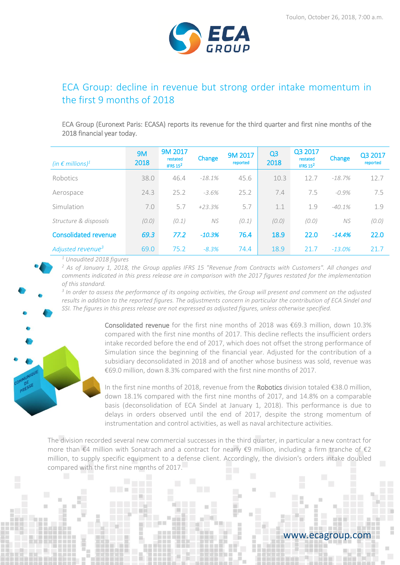

# ECA Group: decline in revenue but strong order intake momentum in the first 9 months of 2018

ECA Group (Euronext Paris: ECASA) reports its revenue for the third quarter and first nine months of the 2018 financial year today.

| (in $\epsilon$ millions) <sup>1</sup> | <b>9M</b><br>2018 | 9M 2017<br>restated<br>IFRS $15^2$ | Change    | 9M 2017<br>reported | Q <sub>3</sub><br>2018 | Q3 2017<br>restated<br>IFRS $15^2$ | Change   | Q3 2017<br>reported |
|---------------------------------------|-------------------|------------------------------------|-----------|---------------------|------------------------|------------------------------------|----------|---------------------|
| Robotics                              | 38.0              | 46.4                               | $-18.1%$  | 45.6                | 10.3                   | 12.7                               | $-18.7%$ | 12.7                |
| Aerospace                             | 24.3              | 25.2                               | $-3.6%$   | 25.2                | 7.4                    | 7.5                                | $-0.9\%$ | 7.5                 |
| Simulation                            | 7.0               | 5.7                                | $+23.3%$  | 5.7                 | 1.1                    | 1.9                                | $-40.1%$ | 1.9                 |
| Structure & disposals                 | (0.0)             | (0.1)                              | <b>NS</b> | (0.1)               | (0.0)                  | (0.0)                              | NS.      | (0.0)               |
| <b>Consolidated revenue</b>           | 69.3              | 77.2                               | $-10.3%$  | 76.4                | 18.9                   | 22.0                               | $-14.4%$ | 22.0                |
| Adjusted revenue <sup>3</sup>         | 69.0              | 75.2                               | $-8.3%$   | 74.4                | 18.9                   | 21.7                               | $-13.0%$ | 21.7                |

*<sup>1</sup> Unaudited 2018 figures*

*<sup>2</sup> As of January 1, 2018, the Group applies IFRS 15 "Revenue from Contracts with Customers". All changes and comments indicated in this press release are in comparison with the 2017 figures restated for the implementation of this standard.* 

<sup>3</sup> In order to assess the performance of its ongoing activities, the Group will present and comment on the adjusted *results in addition to the reported figures. The adjustments concern in particular the contribution of ECA Sindel and SSI. The figures in this press release are not expressed as adjusted figures, unless otherwise specified.*



In the first nine months of 2018, revenue from the Robotics division totaled €38.0 million, down 18.1% compared with the first nine months of 2017, and 14.8% on a comparable basis (deconsolidation of ECA Sindel at January 1, 2018). This performance is due to delays in orders observed until the end of 2017, despite the strong momentum of instrumentation and control activities, as well as naval architecture activities.

The division recorded several new commercial successes in the third quarter, in particular a new contract for more than €4 million with Sonatrach and a contract for nearly €9 million, including a firm tranche of €2 million, to supply specific equipment to a defense client. Accordingly, the division's orders intake doubled compared with the first nine months of 2017.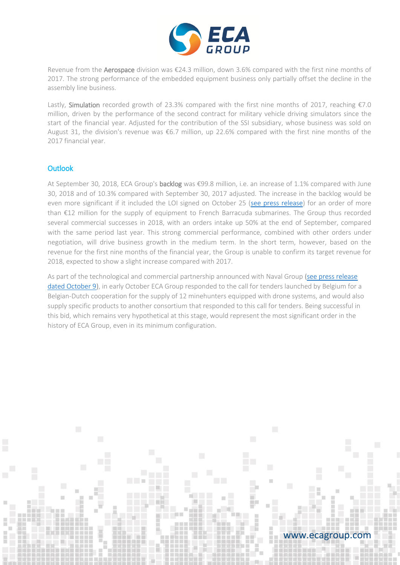

Revenue from the Aerospace division was €24.3 million, down 3.6% compared with the first nine months of 2017. The strong performance of the embedded equipment business only partially offset the decline in the assembly line business.

Lastly, Simulation recorded growth of 23.3% compared with the first nine months of 2017, reaching €7.0 million, driven by the performance of the second contract for military vehicle driving simulators since the start of the financial year. Adjusted for the contribution of the SSI subsidiary, whose business was sold on August 31, the division's revenue was €6.7 million, up 22.6% compared with the first nine months of the 2017 financial year.

### **Outlook**

At September 30, 2018, ECA Group's backlog was €99.8 million, i.e. an increase of 1.1% compared with June 30, 2018 and of 10.3% compared with September 30, 2017 adjusted. The increase in the backlog would be even more significant if it included the LOI signed on October 25 [\(see press release\)](https://www.ecagroup.com/media-file/5265-pr-eca-group-receives-a-letter-of-intent-for-a-contract-worth-more-than-12m-for-the-supply-of-equipment-for-the-french-barracuda-submarines.pdf) for an order of more than €12 million for the supply of equipment to French Barracuda submarines. The Group thus recorded several commercial successes in 2018, with an orders intake up 50% at the end of September, compared with the same period last year. This strong commercial performance, combined with other orders under negotiation, will drive business growth in the medium term. In the short term, however, based on the revenue for the first nine months of the financial year, the Group is unable to confirm its target revenue for 2018, expected to show a slight increase compared with 2017.

As part of the technological and commercial partnership announced with Naval Group ([see press release](https://www.ecagroup.com/en/financial/naval-group-and-eca-group-offer-an-innovative-mine-hunting-solution-to-belgium-and-the-netherlands)  [dated October 9](https://www.ecagroup.com/en/financial/naval-group-and-eca-group-offer-an-innovative-mine-hunting-solution-to-belgium-and-the-netherlands)), in early October ECA Group responded to the call for tenders launched by Belgium for a Belgian-Dutch cooperation for the supply of 12 minehunters equipped with drone systems, and would also supply specific products to another consortium that responded to this call for tenders. Being successful in this bid, which remains very hypothetical at this stage, would represent the most significant order in the history of ECA Group, even in its minimum configuration.

### www.ecagroup.com